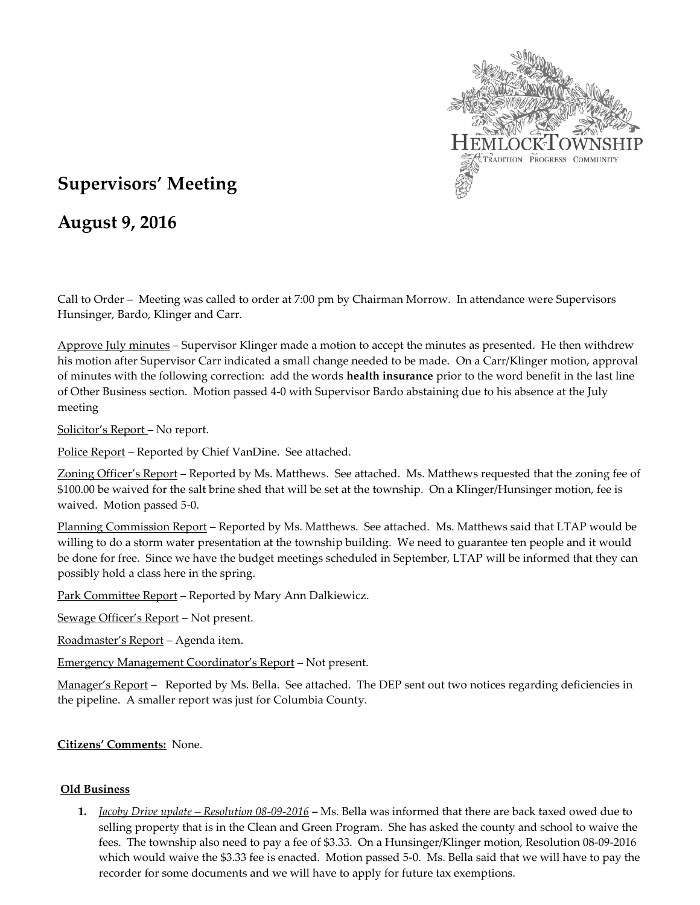

# **Supervisors' Meeting**

## **August 9, 2016**

Call to Order – Meeting was called to order at 7:00 pm by Chairman Morrow. In attendance were Supervisors Hunsinger, Bardo, Klinger and Carr.

Approve July minutes – Supervisor Klinger made a motion to accept the minutes as presented. He then withdrew his motion after Supervisor Carr indicated a small change needed to be made. On a Carr/Klinger motion, approval of minutes with the following correction: add the words **health insurance** prior to the word benefit in the last line of Other Business section. Motion passed 4-0 with Supervisor Bardo abstaining due to his absence at the July meeting

Solicitor's Report – No report.

Police Report – Reported by Chief VanDine. See attached.

Zoning Officer's Report – Reported by Ms. Matthews. See attached. Ms. Matthews requested that the zoning fee of \$100.00 be waived for the salt brine shed that will be set at the township. On a Klinger/Hunsinger motion, fee is waived. Motion passed 5-0.

Planning Commission Report – Reported by Ms. Matthews. See attached. Ms. Matthews said that LTAP would be willing to do a storm water presentation at the township building. We need to guarantee ten people and it would be done for free. Since we have the budget meetings scheduled in September, LTAP will be informed that they can possibly hold a class here in the spring.

Park Committee Report – Reported by Mary Ann Dalkiewicz.

Sewage Officer's Report – Not present.

Roadmaster's Report – Agenda item.

Emergency Management Coordinator's Report – Not present.

Manager's Report – Reported by Ms. Bella. See attached. The DEP sent out two notices regarding deficiencies in the pipeline. A smaller report was just for Columbia County.

## **Citizens' Comments:** None.

#### **Old Business**

**1.** *Jacoby Drive update – Resolution 08-09-2016 –* Ms. Bella was informed that there are back taxed owed due to selling property that is in the Clean and Green Program. She has asked the county and school to waive the fees. The township also need to pay a fee of \$3.33. On a Hunsinger/Klinger motion, Resolution 08-09-2016 which would waive the \$3.33 fee is enacted. Motion passed 5-0. Ms. Bella said that we will have to pay the recorder for some documents and we will have to apply for future tax exemptions.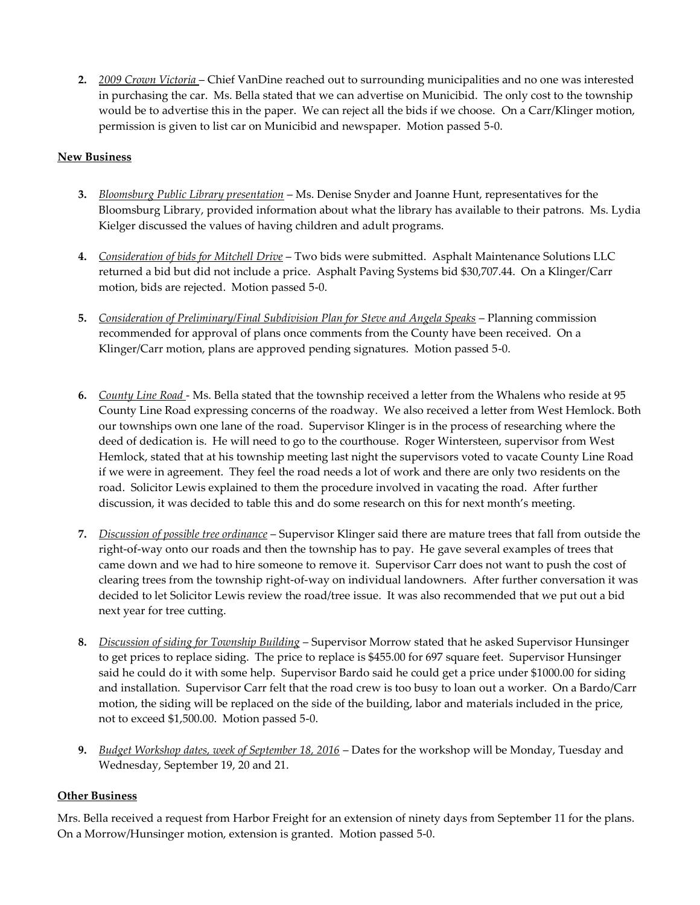**2.** *2009 Crown Victoria* – Chief VanDine reached out to surrounding municipalities and no one was interested in purchasing the car. Ms. Bella stated that we can advertise on Municibid. The only cost to the township would be to advertise this in the paper. We can reject all the bids if we choose. On a Carr/Klinger motion, permission is given to list car on Municibid and newspaper. Motion passed 5-0.

## **New Business**

- **3.** *Bloomsburg Public Library presentation* Ms. Denise Snyder and Joanne Hunt, representatives for the Bloomsburg Library, provided information about what the library has available to their patrons. Ms. Lydia Kielger discussed the values of having children and adult programs.
- **4.** *Consideration of bids for Mitchell Drive* Two bids were submitted. Asphalt Maintenance Solutions LLC returned a bid but did not include a price. Asphalt Paving Systems bid \$30,707.44. On a Klinger/Carr motion, bids are rejected. Motion passed 5-0.
- **5.** *Consideration of Preliminary/Final Subdivision Plan for Steve and Angela Speaks* Planning commission recommended for approval of plans once comments from the County have been received. On a Klinger/Carr motion, plans are approved pending signatures. Motion passed 5-0.
- **6.** *County Line Road*  Ms. Bella stated that the township received a letter from the Whalens who reside at 95 County Line Road expressing concerns of the roadway. We also received a letter from West Hemlock. Both our townships own one lane of the road. Supervisor Klinger is in the process of researching where the deed of dedication is. He will need to go to the courthouse. Roger Wintersteen, supervisor from West Hemlock, stated that at his township meeting last night the supervisors voted to vacate County Line Road if we were in agreement. They feel the road needs a lot of work and there are only two residents on the road. Solicitor Lewis explained to them the procedure involved in vacating the road. After further discussion, it was decided to table this and do some research on this for next month's meeting.
- **7.** *Discussion of possible tree ordinance* Supervisor Klinger said there are mature trees that fall from outside the right-of-way onto our roads and then the township has to pay. He gave several examples of trees that came down and we had to hire someone to remove it. Supervisor Carr does not want to push the cost of clearing trees from the township right-of-way on individual landowners. After further conversation it was decided to let Solicitor Lewis review the road/tree issue. It was also recommended that we put out a bid next year for tree cutting.
- **8.** *Discussion of siding for Township Building* Supervisor Morrow stated that he asked Supervisor Hunsinger to get prices to replace siding. The price to replace is \$455.00 for 697 square feet. Supervisor Hunsinger said he could do it with some help. Supervisor Bardo said he could get a price under \$1000.00 for siding and installation. Supervisor Carr felt that the road crew is too busy to loan out a worker. On a Bardo/Carr motion, the siding will be replaced on the side of the building, labor and materials included in the price, not to exceed \$1,500.00. Motion passed 5-0.
- **9.** *Budget Workshop dates, week of September 18, 2016* Dates for the workshop will be Monday, Tuesday and Wednesday, September 19, 20 and 21.

#### **Other Business**

Mrs. Bella received a request from Harbor Freight for an extension of ninety days from September 11 for the plans. On a Morrow/Hunsinger motion, extension is granted. Motion passed 5-0.